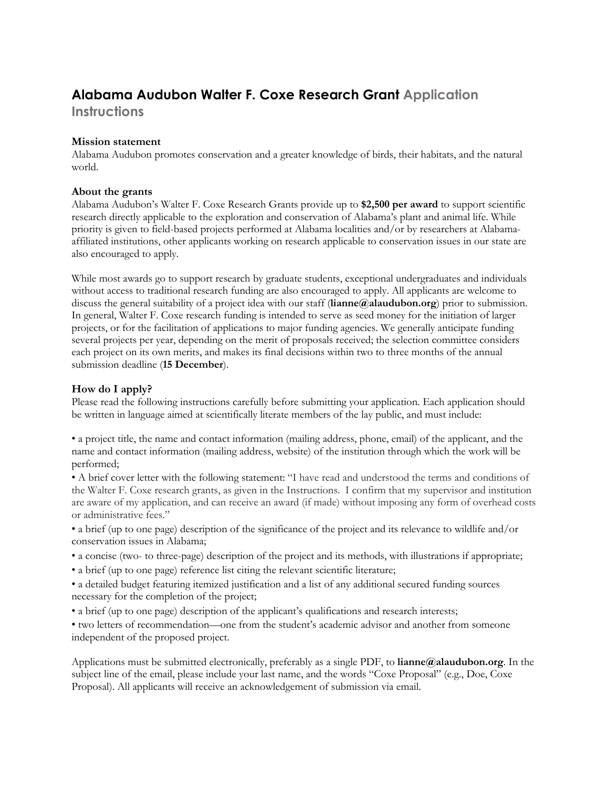# **Alabama Audubon Walter F. Coxe Research Grant Application**

**Instructions**

### **Mission statement**

Alabama Audubon promotes conservation and a greater knowledge of birds, their habitats, and the natural world.

#### **About the grants**

Alabama Audubon's Walter F. Coxe Research Grants provide up to **\$2,500 per award** to support scientific research directly applicable to the exploration and conservation of Alabama's plant and animal life. While priority is given to field-based projects performed at Alabama localities and/or by researchers at Alabamaaffiliated institutions, other applicants working on research applicable to conservation issues in our state are also encouraged to apply.

While most awards go to support research by graduate students, exceptional undergraduates and individuals without access to traditional research funding are also encouraged to apply. All applicants are welcome to discuss the general suitability of a project idea with our staff (**lianne@alaudubon.org**) prior to submission. In general, Walter F. Coxe research funding is intended to serve as seed money for the initiation of larger projects, or for the facilitation of applications to major funding agencies. We generally anticipate funding several projects per year, depending on the merit of proposals received; the selection committee considers each project on its own merits, and makes its final decisions within two to three months of the annual submission deadline (**15 December**).

## **How do I apply?**

Please read the following instructions carefully before submitting your application. Each application should be written in language aimed at scientifically literate members of the lay public, and must include:

• a project title, the name and contact information (mailing address, phone, email) of the applicant, and the name and contact information (mailing address, website) of the institution through which the work will be performed;

• A brief cover letter with the following statement: "I have read and understood the terms and conditions of the Walter F. Coxe research grants, as given in the Instructions. I confirm that my supervisor and institution are aware of my application, and can receive an award (if made) without imposing any form of overhead costs or administrative fees."

• a brief (up to one page) description of the significance of the project and its relevance to wildlife and/or conservation issues in Alabama;

- a concise (two- to three-page) description of the project and its methods, with illustrations if appropriate;
- a brief (up to one page) reference list citing the relevant scientific literature;
- a detailed budget featuring itemized justification and a list of any additional secured funding sources necessary for the completion of the project;
- a brief (up to one page) description of the applicant's qualifications and research interests;

• two letters of recommendation—one from the student's academic advisor and another from someone independent of the proposed project.

Applications must be submitted electronically, preferably as a single PDF, to **lianne@alaudubon.org**. In the subject line of the email, please include your last name, and the words "Coxe Proposal" (e.g., Doe, Coxe Proposal). All applicants will receive an acknowledgement of submission via email.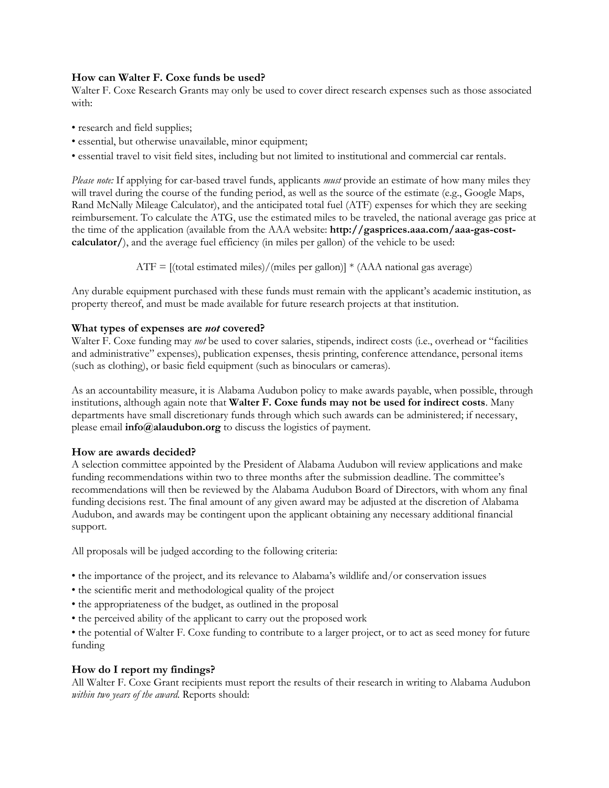#### **How can Walter F. Coxe funds be used?**

Walter F. Coxe Research Grants may only be used to cover direct research expenses such as those associated with:

- research and field supplies;
- essential, but otherwise unavailable, minor equipment;
- essential travel to visit field sites, including but not limited to institutional and commercial car rentals.

*Please note:* If applying for car-based travel funds, applicants *must* provide an estimate of how many miles they will travel during the course of the funding period, as well as the source of the estimate (e.g., Google Maps, Rand McNally Mileage Calculator), and the anticipated total fuel (ATF) expenses for which they are seeking reimbursement. To calculate the ATG, use the estimated miles to be traveled, the national average gas price at the time of the application (available from the AAA website: **http://gasprices.aaa.com/aaa-gas-costcalculator/**), and the average fuel efficiency (in miles per gallon) of the vehicle to be used:

 $ATF = [(total estimated miles)/(miles per gallon)] * (AAA national gas average)$ 

Any durable equipment purchased with these funds must remain with the applicant's academic institution, as property thereof, and must be made available for future research projects at that institution.

#### **What types of expenses are** *not* **covered?**

Walter F. Coxe funding may *not* be used to cover salaries, stipends, indirect costs (i.e., overhead or "facilities") and administrative" expenses), publication expenses, thesis printing, conference attendance, personal items (such as clothing), or basic field equipment (such as binoculars or cameras).

As an accountability measure, it is Alabama Audubon policy to make awards payable, when possible, through institutions, although again note that **Walter F. Coxe funds may not be used for indirect costs**. Many departments have small discretionary funds through which such awards can be administered; if necessary, please email **info@alaudubon.org** to discuss the logistics of payment.

#### **How are awards decided?**

A selection committee appointed by the President of Alabama Audubon will review applications and make funding recommendations within two to three months after the submission deadline. The committee's recommendations will then be reviewed by the Alabama Audubon Board of Directors, with whom any final funding decisions rest. The final amount of any given award may be adjusted at the discretion of Alabama Audubon, and awards may be contingent upon the applicant obtaining any necessary additional financial support.

All proposals will be judged according to the following criteria:

- the importance of the project, and its relevance to Alabama's wildlife and/or conservation issues
- the scientific merit and methodological quality of the project
- the appropriateness of the budget, as outlined in the proposal
- the perceived ability of the applicant to carry out the proposed work

• the potential of Walter F. Coxe funding to contribute to a larger project, or to act as seed money for future funding

#### **How do I report my findings?**

All Walter F. Coxe Grant recipients must report the results of their research in writing to Alabama Audubon *within two years of the award*. Reports should: